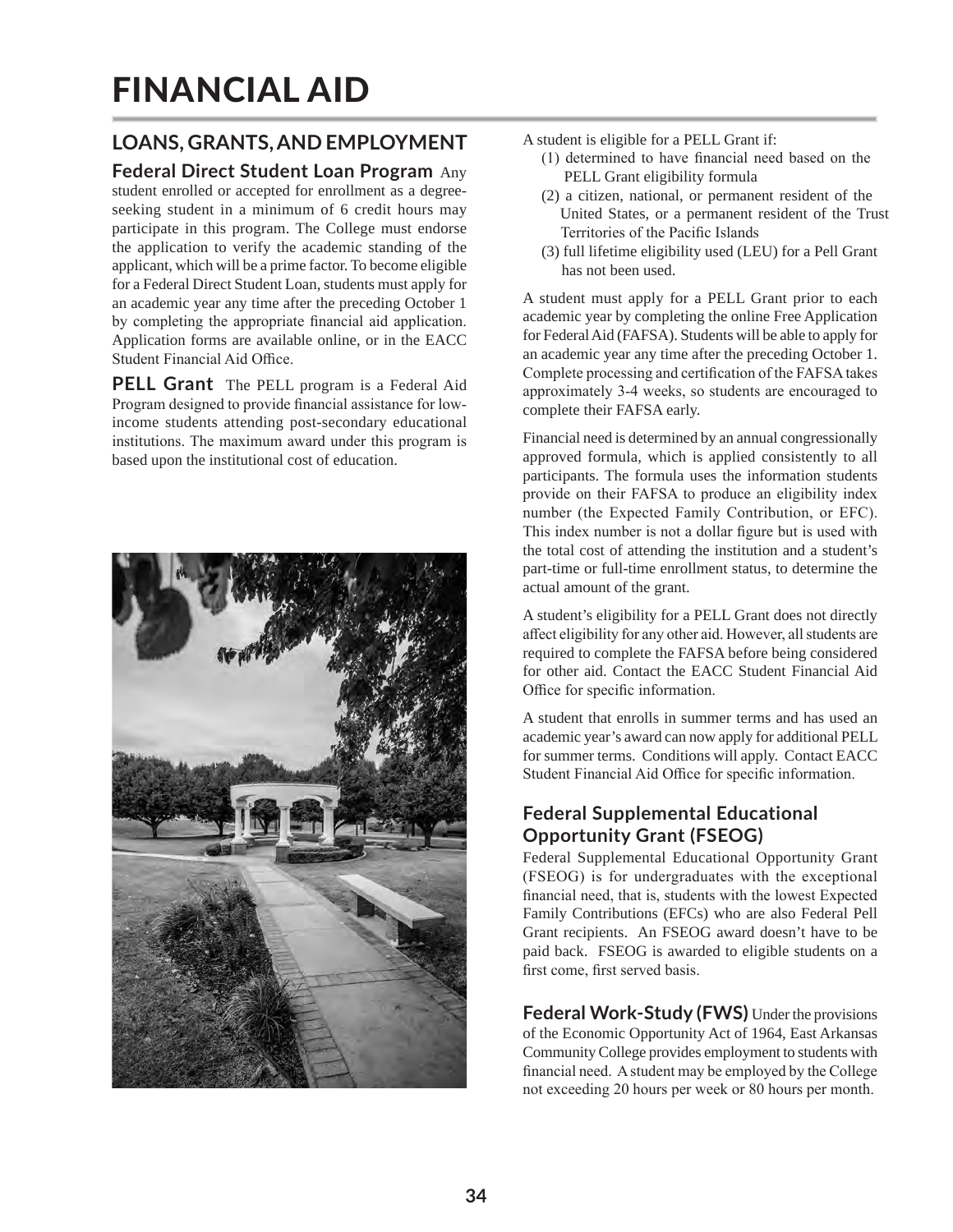# FINANCIAL AID

# **LOANS, GRANTS, AND EMPLOYMENT**

# **Federal Direct Student Loan Program** Any

student enrolled or accepted for enrollment as a degreeseeking student in a minimum of 6 credit hours may participate in this program. The College must endorse the application to verify the academic standing of the applicant, which will be a prime factor. To become eligible for a Federal Direct Student Loan, students must apply for an academic year any time after the preceding October 1 by completing the appropriate financial aid application. Application forms are available online, or in the EACC Student Financial Aid Office.

**PELL Grant** The PELL program is a Federal Aid Program designed to provide financial assistance for lowincome students attending post-secondary educational institutions. The maximum award under this program is based upon the institutional cost of education.



A student is eligible for a PELL Grant if:

- (1) determined to have financial need based on the PELL Grant eligibility formula
- (2) a citizen, national, or permanent resident of the United States, or a permanent resident of the Trust Territories of the Pacific Islands
- (3) full lifetime eligibility used (LEU) for a Pell Grant has not been used.

A student must apply for a PELL Grant prior to each academic year by completing the online Free Application for Federal Aid (FAFSA). Students will be able to apply for an academic year any time after the preceding October 1. Complete processing and certification of the FAFSA takes approximately 3-4 weeks, so students are encouraged to complete their FAFSA early.

Financial need is determined by an annual congressionally approved formula, which is applied consistently to all participants. The formula uses the information students provide on their FAFSA to produce an eligibility index number (the Expected Family Contribution, or EFC). This index number is not a dollar figure but is used with the total cost of attending the institution and a student's part-time or full-time enrollment status, to determine the actual amount of the grant.

A student's eligibility for a PELL Grant does not directly affect eligibility for any other aid. However, all students are required to complete the FAFSA before being considered for other aid. Contact the EACC Student Financial Aid Office for specific information.

A student that enrolls in summer terms and has used an academic year's award can now apply for additional PELL for summer terms. Conditions will apply. Contact EACC Student Financial Aid Office for specific information.

# **Federal Supplemental Educational Opportunity Grant (FSEOG)**

Federal Supplemental Educational Opportunity Grant (FSEOG) is for undergraduates with the exceptional financial need, that is, students with the lowest Expected Family Contributions (EFCs) who are also Federal Pell Grant recipients. An FSEOG award doesn't have to be paid back. FSEOG is awarded to eligible students on a first come, first served basis.

**Federal Work-Study (FWS)** Under the provisions of the Economic Opportunity Act of 1964, East Arkansas Community College provides employment to students with financial need. A student may be employed by the College not exceeding 20 hours per week or 80 hours per month.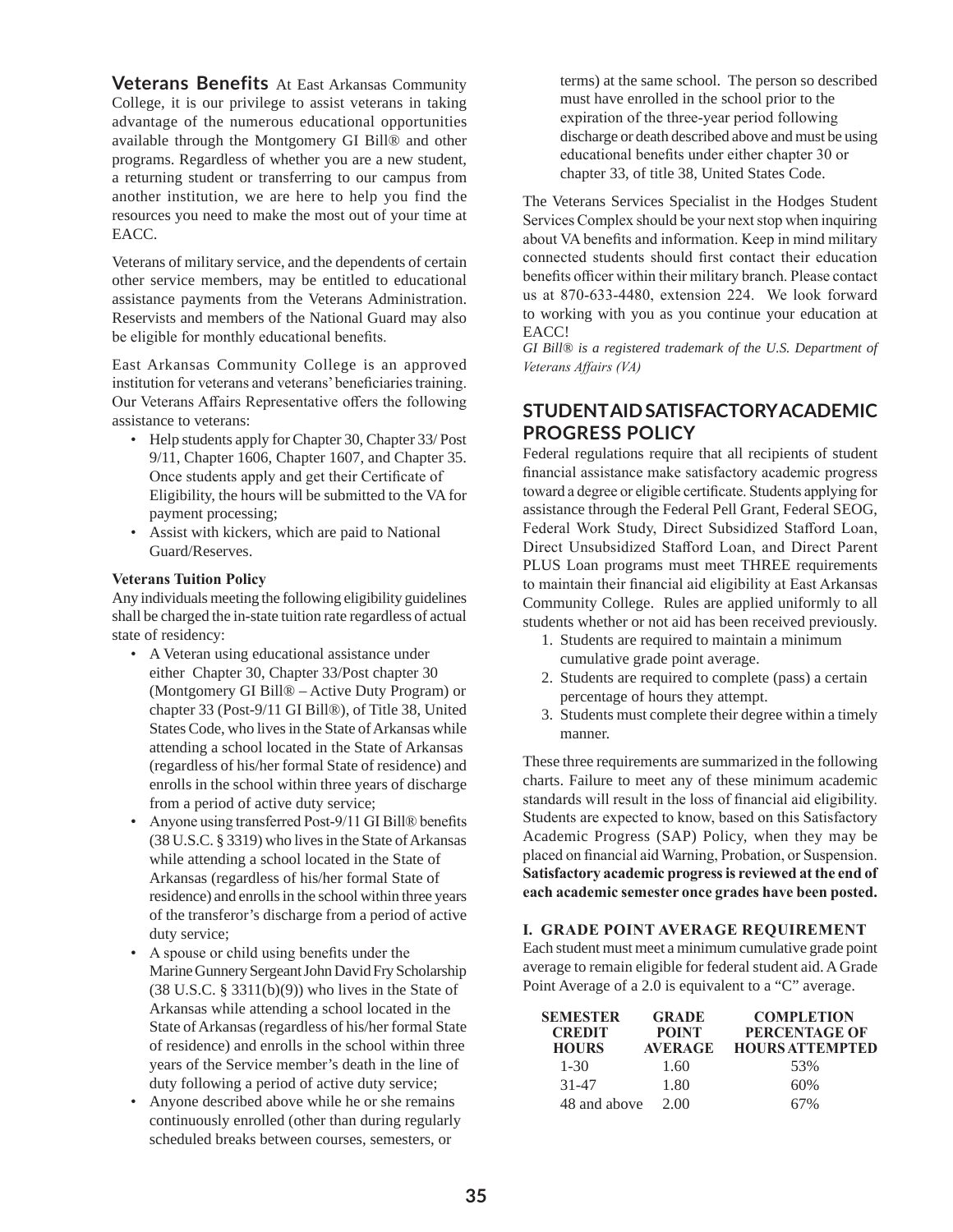**Veterans Benefits** At East Arkansas Community College, it is our privilege to assist veterans in taking advantage of the numerous educational opportunities available through the Montgomery GI Bill® and other programs. Regardless of whether you are a new student, a returning student or transferring to our campus from another institution, we are here to help you find the resources you need to make the most out of your time at EACC.

Veterans of military service, and the dependents of certain other service members, may be entitled to educational assistance payments from the Veterans Administration. Reservists and members of the National Guard may also be eligible for monthly educational benefits.

East Arkansas Community College is an approved institution for veterans and veterans' beneficiaries training. Our Veterans Affairs Representative offers the following assistance to veterans:

- Help students apply for Chapter 30, Chapter 33/ Post 9/11, Chapter 1606, Chapter 1607, and Chapter 35. Once students apply and get their Certificate of Eligibility, the hours will be submitted to the VA for payment processing;
- Assist with kickers, which are paid to National Guard/Reserves.

#### **Veterans Tuition Policy**

Any individuals meeting the following eligibility guidelines shall be charged the in-state tuition rate regardless of actual state of residency:

- A Veteran using educational assistance under either Chapter 30, Chapter 33/Post chapter 30 (Montgomery GI Bill® – Active Duty Program) or chapter 33 (Post-9/11 GI Bill®), of Title 38, United States Code, who lives in the State of Arkansas while attending a school located in the State of Arkansas (regardless of his/her formal State of residence) and enrolls in the school within three years of discharge from a period of active duty service;
- Anyone using transferred Post-9/11 GI Bill® benefits (38 U.S.C. § 3319) who lives in the State of Arkansas while attending a school located in the State of Arkansas (regardless of his/her formal State of residence) and enrolls in the school within three years of the transferor's discharge from a period of active duty service;
- A spouse or child using benefits under the Marine Gunnery Sergeant John David Fry Scholarship  $(38 \text{ U.S.C. } § 3311(b)(9))$  who lives in the State of Arkansas while attending a school located in the State of Arkansas (regardless of his/her formal State of residence) and enrolls in the school within three years of the Service member's death in the line of duty following a period of active duty service;
- Anyone described above while he or she remains continuously enrolled (other than during regularly scheduled breaks between courses, semesters, or

 terms) at the same school. The person so described must have enrolled in the school prior to the expiration of the three-year period following discharge or death described above and must be using educational benefits under either chapter 30 or chapter 33, of title 38, United States Code.

The Veterans Services Specialist in the Hodges Student Services Complex should be your next stop when inquiring about VA benefits and information. Keep in mind military connected students should first contact their education benefits officer within their military branch. Please contact us at 870-633-4480, extension 224. We look forward to working with you as you continue your education at EACC!

*GI Bill® is a registered trademark of the U.S. Department of Veterans Affairs (VA)*

#### **STUDENT AID SATISFACTORY ACADEMIC PROGRESS POLICY**

Federal regulations require that all recipients of student financial assistance make satisfactory academic progress toward a degree or eligible certificate. Students applying for assistance through the Federal Pell Grant, Federal SEOG, Federal Work Study, Direct Subsidized Stafford Loan, Direct Unsubsidized Stafford Loan, and Direct Parent PLUS Loan programs must meet THREE requirements to maintain their financial aid eligibility at East Arkansas Community College. Rules are applied uniformly to all students whether or not aid has been received previously.

- 1. Students are required to maintain a minimum cumulative grade point average.
- 2. Students are required to complete (pass) a certain percentage of hours they attempt.
- 3. Students must complete their degree within a timely manner.

These three requirements are summarized in the following charts. Failure to meet any of these minimum academic standards will result in the loss of financial aid eligibility. Students are expected to know, based on this Satisfactory Academic Progress (SAP) Policy, when they may be placed on financial aid Warning, Probation, or Suspension. **Satisfactory academic progress is reviewed at the end of each academic semester once grades have been posted.** 

#### **I. GRADE POINT AVERAGE REQUIREMENT**

Each student must meet a minimum cumulative grade point average to remain eligible for federal student aid. A Grade Point Average of a 2.0 is equivalent to a "C" average.

| <b>SEMESTER</b><br><b>CREDIT</b><br><b>HOURS</b> | <b>GRADE</b><br><b>POINT</b><br><b>AVERAGE</b> | <b>COMPLETION</b><br>PERCENTAGE OF<br><b>HOURS ATTEMPTED</b> |
|--------------------------------------------------|------------------------------------------------|--------------------------------------------------------------|
| $1 - 30$                                         | 1.60                                           | 53%                                                          |
| 31-47                                            | 1.80                                           | 60%                                                          |
| 48 and above                                     | 2.00                                           | 67%                                                          |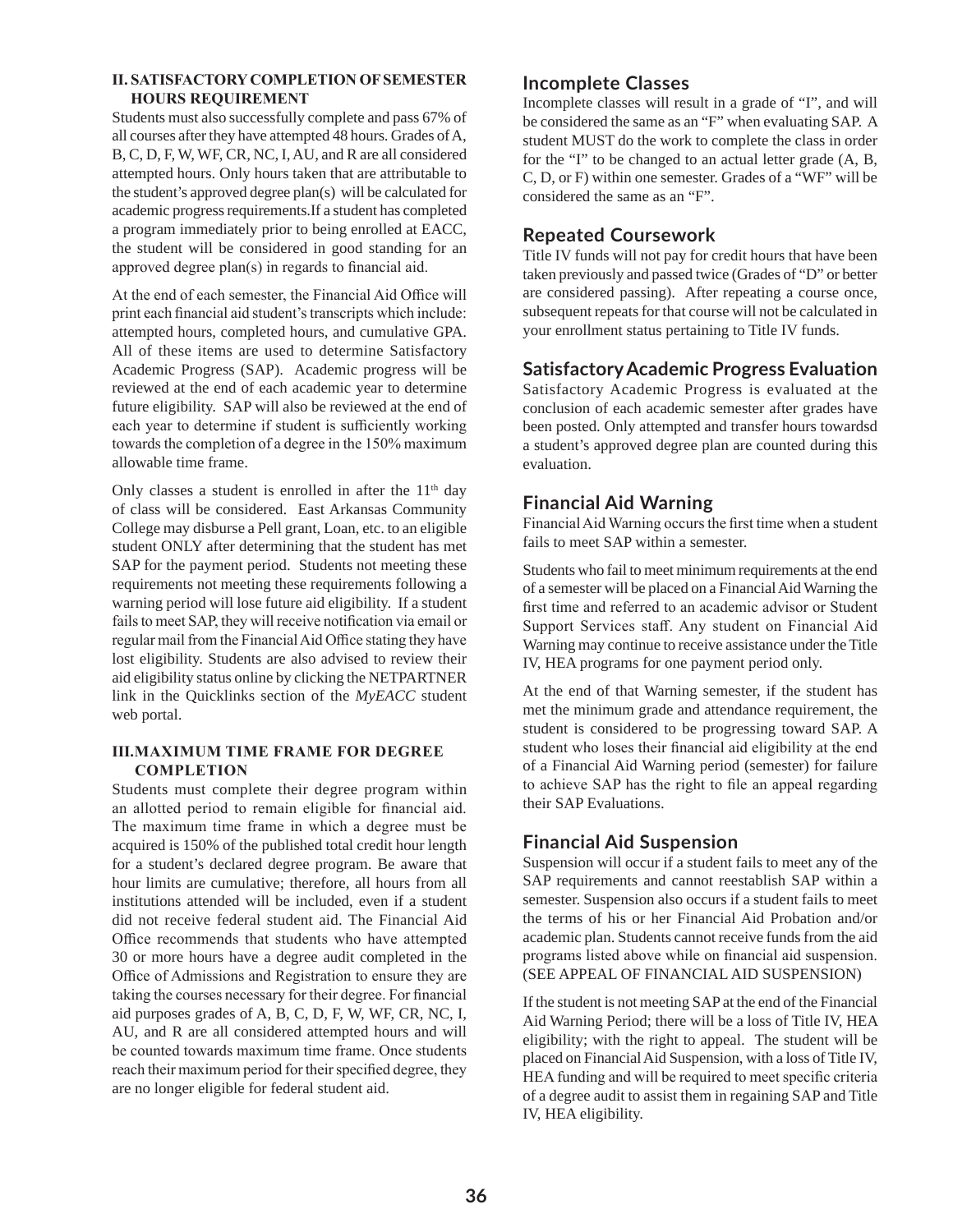#### **II. SATISFACTORY COMPLETION OF SEMESTER HOURS REQUIREMENT**

Students must also successfully complete and pass 67% of all courses after they have attempted 48 hours. Grades of A, B, C, D, F, W, WF, CR, NC, I, AU, and R are all considered attempted hours. Only hours taken that are attributable to the student's approved degree plan(s) will be calculated for academic progress requirements.If a student has completed a program immediately prior to being enrolled at EACC, the student will be considered in good standing for an approved degree plan(s) in regards to financial aid.

At the end of each semester, the Financial Aid Office will print each financial aid student's transcripts which include: attempted hours, completed hours, and cumulative GPA. All of these items are used to determine Satisfactory Academic Progress (SAP). Academic progress will be reviewed at the end of each academic year to determine future eligibility. SAP will also be reviewed at the end of each year to determine if student is sufficiently working towards the completion of a degree in the 150% maximum allowable time frame.

Only classes a student is enrolled in after the  $11<sup>th</sup>$  day of class will be considered. East Arkansas Community College may disburse a Pell grant, Loan, etc. to an eligible student ONLY after determining that the student has met SAP for the payment period. Students not meeting these requirements not meeting these requirements following a warning period will lose future aid eligibility. If a student fails to meet SAP, they will receive notification via email or regular mail from the Financial Aid Office stating they have lost eligibility. Students are also advised to review their aid eligibility status online by clicking the NETPARTNER link in the Quicklinks section of the *MyEACC* student web portal.

#### **III.MAXIMUM TIME FRAME FOR DEGREE COMPLETION**

Students must complete their degree program within an allotted period to remain eligible for financial aid. The maximum time frame in which a degree must be acquired is 150% of the published total credit hour length for a student's declared degree program. Be aware that hour limits are cumulative; therefore, all hours from all institutions attended will be included, even if a student did not receive federal student aid. The Financial Aid Office recommends that students who have attempted 30 or more hours have a degree audit completed in the Office of Admissions and Registration to ensure they are taking the courses necessary for their degree. For financial aid purposes grades of A, B, C, D, F, W, WF, CR, NC, I, AU, and R are all considered attempted hours and will be counted towards maximum time frame. Once students reach their maximum period for their specified degree, they are no longer eligible for federal student aid.

## **Incomplete Classes**

Incomplete classes will result in a grade of "I", and will be considered the same as an "F" when evaluating SAP. A student MUST do the work to complete the class in order for the "I" to be changed to an actual letter grade (A, B, C, D, or F) within one semester. Grades of a "WF" will be considered the same as an "F".

## **Repeated Coursework**

Title IV funds will not pay for credit hours that have been taken previously and passed twice (Grades of "D" or better are considered passing). After repeating a course once, subsequent repeats for that course will not be calculated in your enrollment status pertaining to Title IV funds.

#### **Satisfactory Academic Progress Evaluation**

Satisfactory Academic Progress is evaluated at the conclusion of each academic semester after grades have been posted. Only attempted and transfer hours towardsd a student's approved degree plan are counted during this evaluation.

#### **Financial Aid Warning**

Financial Aid Warning occurs the first time when a student fails to meet SAP within a semester.

Students who fail to meet minimum requirements at the end of a semester will be placed on a Financial Aid Warning the first time and referred to an academic advisor or Student Support Services staff. Any student on Financial Aid Warning may continue to receive assistance under the Title IV, HEA programs for one payment period only.

At the end of that Warning semester, if the student has met the minimum grade and attendance requirement, the student is considered to be progressing toward SAP. A student who loses their financial aid eligibility at the end of a Financial Aid Warning period (semester) for failure to achieve SAP has the right to file an appeal regarding their SAP Evaluations.

## **Financial Aid Suspension**

Suspension will occur if a student fails to meet any of the SAP requirements and cannot reestablish SAP within a semester. Suspension also occurs if a student fails to meet the terms of his or her Financial Aid Probation and/or academic plan. Students cannot receive funds from the aid programs listed above while on financial aid suspension. (SEE APPEAL OF FINANCIAL AID SUSPENSION)

If the student is not meeting SAP at the end of the Financial Aid Warning Period; there will be a loss of Title IV, HEA eligibility; with the right to appeal. The student will be placed on Financial Aid Suspension, with a loss of Title IV, HEA funding and will be required to meet specific criteria of a degree audit to assist them in regaining SAP and Title IV, HEA eligibility.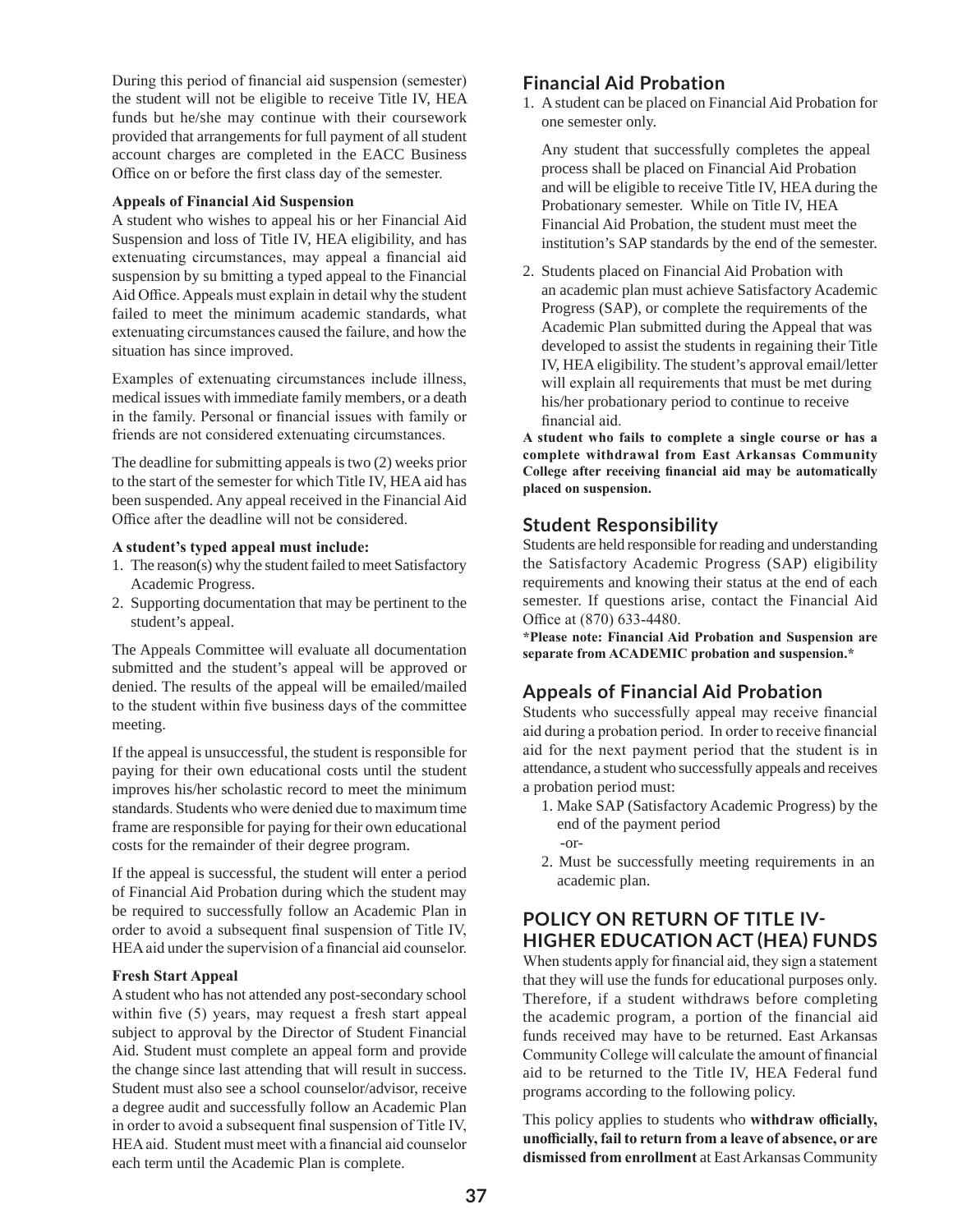During this period of financial aid suspension (semester) the student will not be eligible to receive Title IV, HEA funds but he/she may continue with their coursework provided that arrangements for full payment of all student account charges are completed in the EACC Business Office on or before the first class day of the semester.

#### **Appeals of Financial Aid Suspension**

A student who wishes to appeal his or her Financial Aid Suspension and loss of Title IV, HEA eligibility, and has extenuating circumstances, may appeal a financial aid suspension by su bmitting a typed appeal to the Financial Aid Office. Appeals must explain in detail why the student failed to meet the minimum academic standards, what extenuating circumstances caused the failure, and how the situation has since improved.

Examples of extenuating circumstances include illness, medical issues with immediate family members, or a death in the family. Personal or financial issues with family or friends are not considered extenuating circumstances.

The deadline for submitting appeals is two (2) weeks prior to the start of the semester for which Title IV, HEA aid has been suspended. Any appeal received in the Financial Aid Office after the deadline will not be considered.

#### **A student's typed appeal must include:**

- 1. The reason(s) why the student failed to meet Satisfactory Academic Progress.
- 2. Supporting documentation that may be pertinent to the student's appeal.

The Appeals Committee will evaluate all documentation submitted and the student's appeal will be approved or denied. The results of the appeal will be emailed/mailed to the student within five business days of the committee meeting.

If the appeal is unsuccessful, the student is responsible for paying for their own educational costs until the student improves his/her scholastic record to meet the minimum standards. Students who were denied due to maximum time frame are responsible for paying for their own educational costs for the remainder of their degree program.

If the appeal is successful, the student will enter a period of Financial Aid Probation during which the student may be required to successfully follow an Academic Plan in order to avoid a subsequent final suspension of Title IV, HEA aid under the supervision of a financial aid counselor.

#### **Fresh Start Appeal**

A student who has not attended any post-secondary school within five (5) years, may request a fresh start appeal subject to approval by the Director of Student Financial Aid. Student must complete an appeal form and provide the change since last attending that will result in success. Student must also see a school counselor/advisor, receive a degree audit and successfully follow an Academic Plan in order to avoid a subsequent final suspension of Title IV, HEA aid. Student must meet with a financial aid counselor each term until the Academic Plan is complete.

#### **Financial Aid Probation**

1. A student can be placed on Financial Aid Probation for one semester only.

Any student that successfully completes the appeal process shall be placed on Financial Aid Probation and will be eligible to receive Title IV, HEA during the Probationary semester. While on Title IV, HEA Financial Aid Probation, the student must meet the institution's SAP standards by the end of the semester.

2. Students placed on Financial Aid Probation with an academic plan must achieve Satisfactory Academic Progress (SAP), or complete the requirements of the Academic Plan submitted during the Appeal that was developed to assist the students in regaining their Title IV, HEA eligibility. The student's approval email/letter will explain all requirements that must be met during his/her probationary period to continue to receive financial aid.

**A student who fails to complete a single course or has a complete withdrawal from East Arkansas Community College after receiving financial aid may be automatically placed on suspension.** 

#### **Student Responsibility**

Students are held responsible for reading and understanding the Satisfactory Academic Progress (SAP) eligibility requirements and knowing their status at the end of each semester. If questions arise, contact the Financial Aid Office at (870) 633-4480.

**\*Please note: Financial Aid Probation and Suspension are separate from ACADEMIC probation and suspension.\*** 

## **Appeals of Financial Aid Probation**

Students who successfully appeal may receive financial aid during a probation period. In order to receive financial aid for the next payment period that the student is in attendance, a student who successfully appeals and receives a probation period must:

- 1. Make SAP (Satisfactory Academic Progress) by the end of the payment period
	- -or-
- 2. Must be successfully meeting requirements in an academic plan.

## **POLICY ON RETURN OF TITLE IV-HIGHER EDUCATION ACT (HEA) FUNDS**

When students apply for financial aid, they sign a statement that they will use the funds for educational purposes only. Therefore, if a student withdraws before completing the academic program, a portion of the financial aid funds received may have to be returned. East Arkansas Community College will calculate the amount of financial aid to be returned to the Title IV, HEA Federal fund programs according to the following policy.

This policy applies to students who **withdraw officially, unofficially, fail to return from a leave of absence, or are dismissed from enrollment** at East Arkansas Community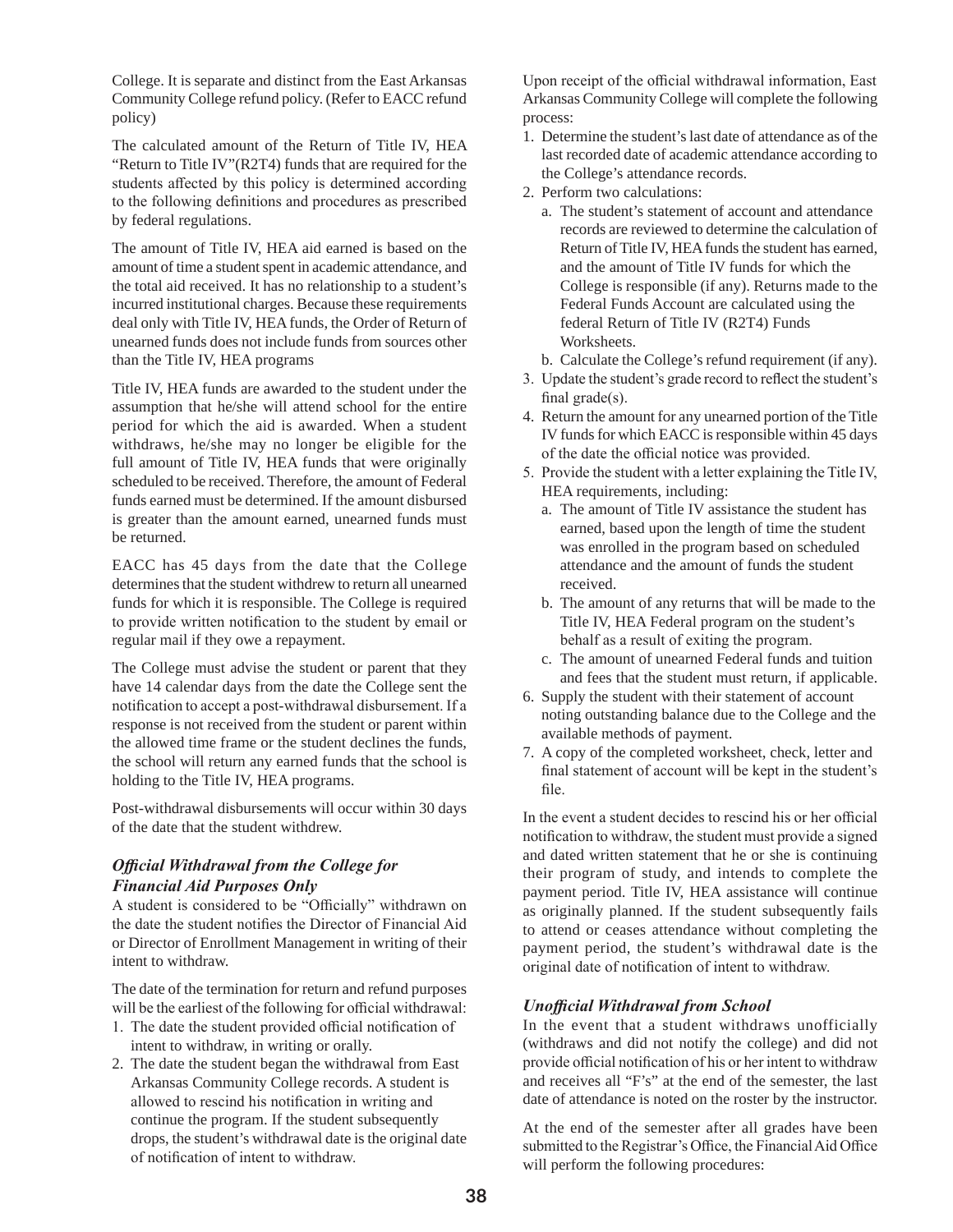College. It is separate and distinct from the East Arkansas Community College refund policy. (Refer to EACC refund policy)

The calculated amount of the Return of Title IV, HEA "Return to Title IV"(R2T4) funds that are required for the students affected by this policy is determined according to the following definitions and procedures as prescribed by federal regulations.

The amount of Title IV, HEA aid earned is based on the amount of time a student spent in academic attendance, and the total aid received. It has no relationship to a student's incurred institutional charges. Because these requirements deal only with Title IV, HEA funds, the Order of Return of unearned funds does not include funds from sources other than the Title IV, HEA programs

Title IV, HEA funds are awarded to the student under the assumption that he/she will attend school for the entire period for which the aid is awarded. When a student withdraws, he/she may no longer be eligible for the full amount of Title IV, HEA funds that were originally scheduled to be received. Therefore, the amount of Federal funds earned must be determined. If the amount disbursed is greater than the amount earned, unearned funds must be returned.

EACC has 45 days from the date that the College determines that the student withdrew to return all unearned funds for which it is responsible. The College is required to provide written notification to the student by email or regular mail if they owe a repayment.

The College must advise the student or parent that they have 14 calendar days from the date the College sent the notification to accept a post-withdrawal disbursement. If a response is not received from the student or parent within the allowed time frame or the student declines the funds, the school will return any earned funds that the school is holding to the Title IV, HEA programs.

Post-withdrawal disbursements will occur within 30 days of the date that the student withdrew.

#### *Official Withdrawal from the College for Financial Aid Purposes Only*

A student is considered to be "Officially" withdrawn on the date the student notifies the Director of Financial Aid or Director of Enrollment Management in writing of their intent to withdraw.

The date of the termination for return and refund purposes will be the earliest of the following for official withdrawal:

- 1. The date the student provided official notification of intent to withdraw, in writing or orally.
- 2. The date the student began the withdrawal from East Arkansas Community College records. A student is allowed to rescind his notification in writing and continue the program. If the student subsequently drops, the student's withdrawal date is the original date of notification of intent to withdraw.

Upon receipt of the official withdrawal information, East Arkansas Community College will complete the following process:

- 1. Determine the student's last date of attendance as of the last recorded date of academic attendance according to the College's attendance records.
- 2. Perform two calculations:
	- a. The student's statement of account and attendance records are reviewed to determine the calculation of Return of Title IV, HEA funds the student has earned, and the amount of Title IV funds for which the College is responsible (if any). Returns made to the Federal Funds Account are calculated using the federal Return of Title IV (R2T4) Funds Worksheets.
	- b. Calculate the College's refund requirement (if any).
- 3. Update the student's grade record to reflect the student's final grade(s).
- 4. Return the amount for any unearned portion of the Title IV funds for which EACC is responsible within 45 days of the date the official notice was provided.
- 5. Provide the student with a letter explaining the Title IV, HEA requirements, including:
	- a. The amount of Title IV assistance the student has earned, based upon the length of time the student was enrolled in the program based on scheduled attendance and the amount of funds the student received.
	- b. The amount of any returns that will be made to the Title IV, HEA Federal program on the student's behalf as a result of exiting the program.
	- c. The amount of unearned Federal funds and tuition and fees that the student must return, if applicable.
- 6. Supply the student with their statement of account noting outstanding balance due to the College and the available methods of payment.
- 7. A copy of the completed worksheet, check, letter and final statement of account will be kept in the student's file.

In the event a student decides to rescind his or her official notification to withdraw, the student must provide a signed and dated written statement that he or she is continuing their program of study, and intends to complete the payment period. Title IV, HEA assistance will continue as originally planned. If the student subsequently fails to attend or ceases attendance without completing the payment period, the student's withdrawal date is the original date of notification of intent to withdraw.

#### *Unofficial Withdrawal from School*

In the event that a student withdraws unofficially (withdraws and did not notify the college) and did not provide official notification of his or her intent to withdraw and receives all "F's" at the end of the semester, the last date of attendance is noted on the roster by the instructor.

At the end of the semester after all grades have been submitted to the Registrar's Office, the Financial Aid Office will perform the following procedures: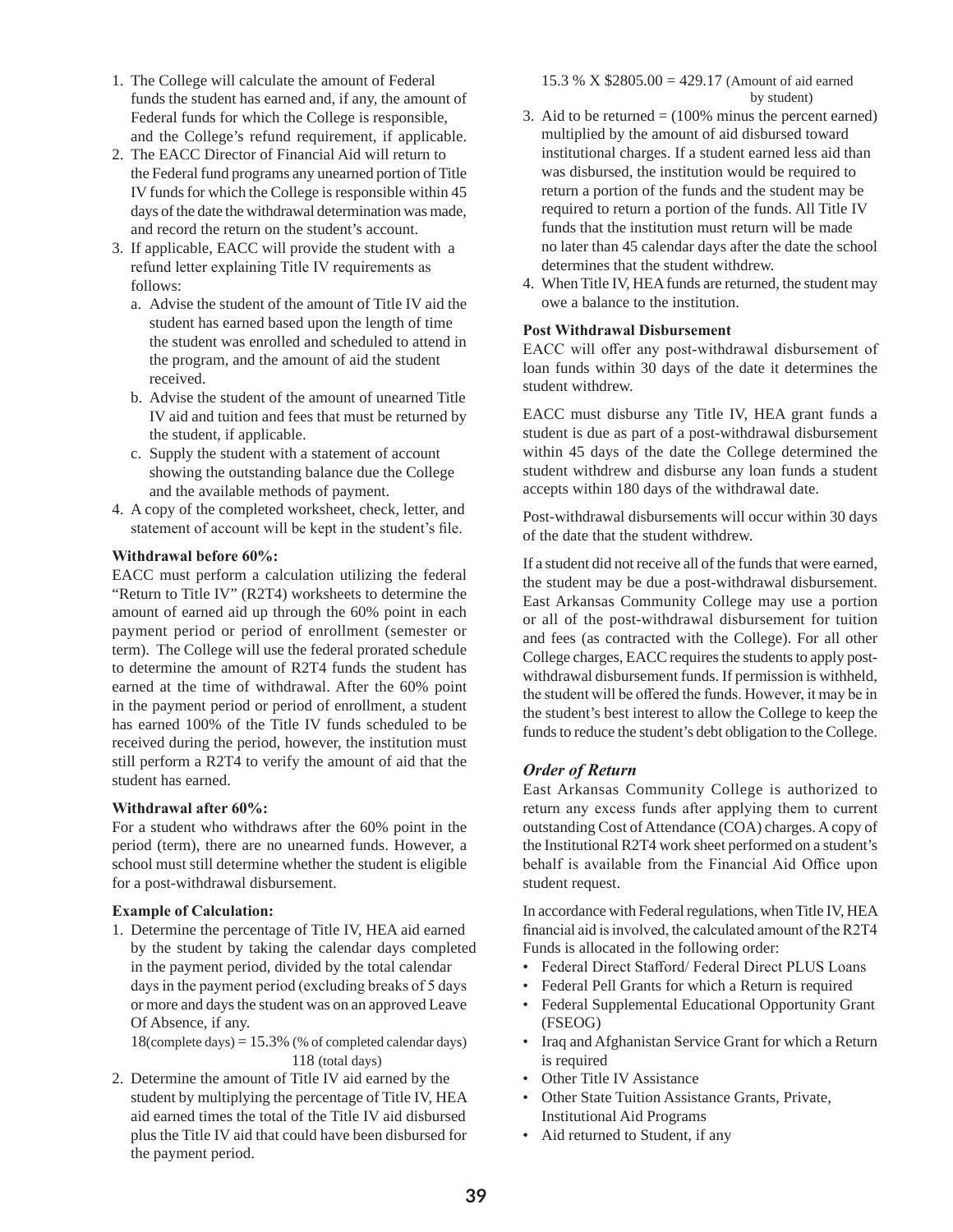- 1. The College will calculate the amount of Federal funds the student has earned and, if any, the amount of Federal funds for which the College is responsible, and the College's refund requirement, if applicable.
- 2. The EACC Director of Financial Aid will return to the Federal fund programs any unearned portion of Title IV funds for which the College is responsible within 45 days of the date the withdrawal determination was made, and record the return on the student's account.
- 3. If applicable, EACC will provide the student with a refund letter explaining Title IV requirements as follows:
	- a. Advise the student of the amount of Title IV aid the student has earned based upon the length of time the student was enrolled and scheduled to attend in the program, and the amount of aid the student received.
	- b. Advise the student of the amount of unearned Title IV aid and tuition and fees that must be returned by the student, if applicable.
	- c. Supply the student with a statement of account showing the outstanding balance due the College and the available methods of payment.
- 4. A copy of the completed worksheet, check, letter, and statement of account will be kept in the student's file.

#### **Withdrawal before 60%:**

EACC must perform a calculation utilizing the federal "Return to Title IV" (R2T4) worksheets to determine the amount of earned aid up through the 60% point in each payment period or period of enrollment (semester or term). The College will use the federal prorated schedule to determine the amount of R2T4 funds the student has earned at the time of withdrawal. After the 60% point in the payment period or period of enrollment, a student has earned 100% of the Title IV funds scheduled to be received during the period, however, the institution must still perform a R2T4 to verify the amount of aid that the student has earned.

#### **Withdrawal after 60%:**

For a student who withdraws after the 60% point in the period (term), there are no unearned funds. However, a school must still determine whether the student is eligible for a post-withdrawal disbursement.

#### **Example of Calculation:**

1. Determine the percentage of Title IV, HEA aid earned by the student by taking the calendar days completed in the payment period, divided by the total calendar days in the payment period (excluding breaks of 5 days or more and days the student was on an approved Leave Of Absence, if any.

 $18$ (complete days) =  $15.3\%$  (% of completed calendar days) 118 (total days)

2. Determine the amount of Title IV aid earned by the student by multiplying the percentage of Title IV, HEA aid earned times the total of the Title IV aid disbursed plus the Title IV aid that could have been disbursed for the payment period.

15.3 % X \$2805.00 = 429.17 (Amount of aid earned by student)

- 3. Aid to be returned  $= (100\% \text{ minus the percent earned})$ multiplied by the amount of aid disbursed toward institutional charges. If a student earned less aid than was disbursed, the institution would be required to return a portion of the funds and the student may be required to return a portion of the funds. All Title IV funds that the institution must return will be made no later than 45 calendar days after the date the school determines that the student withdrew.
- 4. When Title IV, HEA funds are returned, the student may owe a balance to the institution.

#### **Post Withdrawal Disbursement**

EACC will offer any post-withdrawal disbursement of loan funds within 30 days of the date it determines the student withdrew.

EACC must disburse any Title IV, HEA grant funds a student is due as part of a post-withdrawal disbursement within 45 days of the date the College determined the student withdrew and disburse any loan funds a student accepts within 180 days of the withdrawal date.

Post-withdrawal disbursements will occur within 30 days of the date that the student withdrew.

If a student did not receive all of the funds that were earned, the student may be due a post-withdrawal disbursement. East Arkansas Community College may use a portion or all of the post-withdrawal disbursement for tuition and fees (as contracted with the College). For all other College charges, EACC requires the students to apply postwithdrawal disbursement funds. If permission is withheld, the student will be offered the funds. However, it may be in the student's best interest to allow the College to keep the funds to reduce the student's debt obligation to the College.

#### *Order of Return*

East Arkansas Community College is authorized to return any excess funds after applying them to current outstanding Cost of Attendance (COA) charges. A copy of the Institutional R2T4 work sheet performed on a student's behalf is available from the Financial Aid Office upon student request.

In accordance with Federal regulations, when Title IV, HEA financial aid is involved, the calculated amount of the R2T4 Funds is allocated in the following order:

- Federal Direct Stafford/ Federal Direct PLUS Loans
- Federal Pell Grants for which a Return is required
- Federal Supplemental Educational Opportunity Grant (FSEOG)
- Iraq and Afghanistan Service Grant for which a Return is required
- Other Title IV Assistance
- Other State Tuition Assistance Grants, Private, Institutional Aid Programs
- Aid returned to Student, if any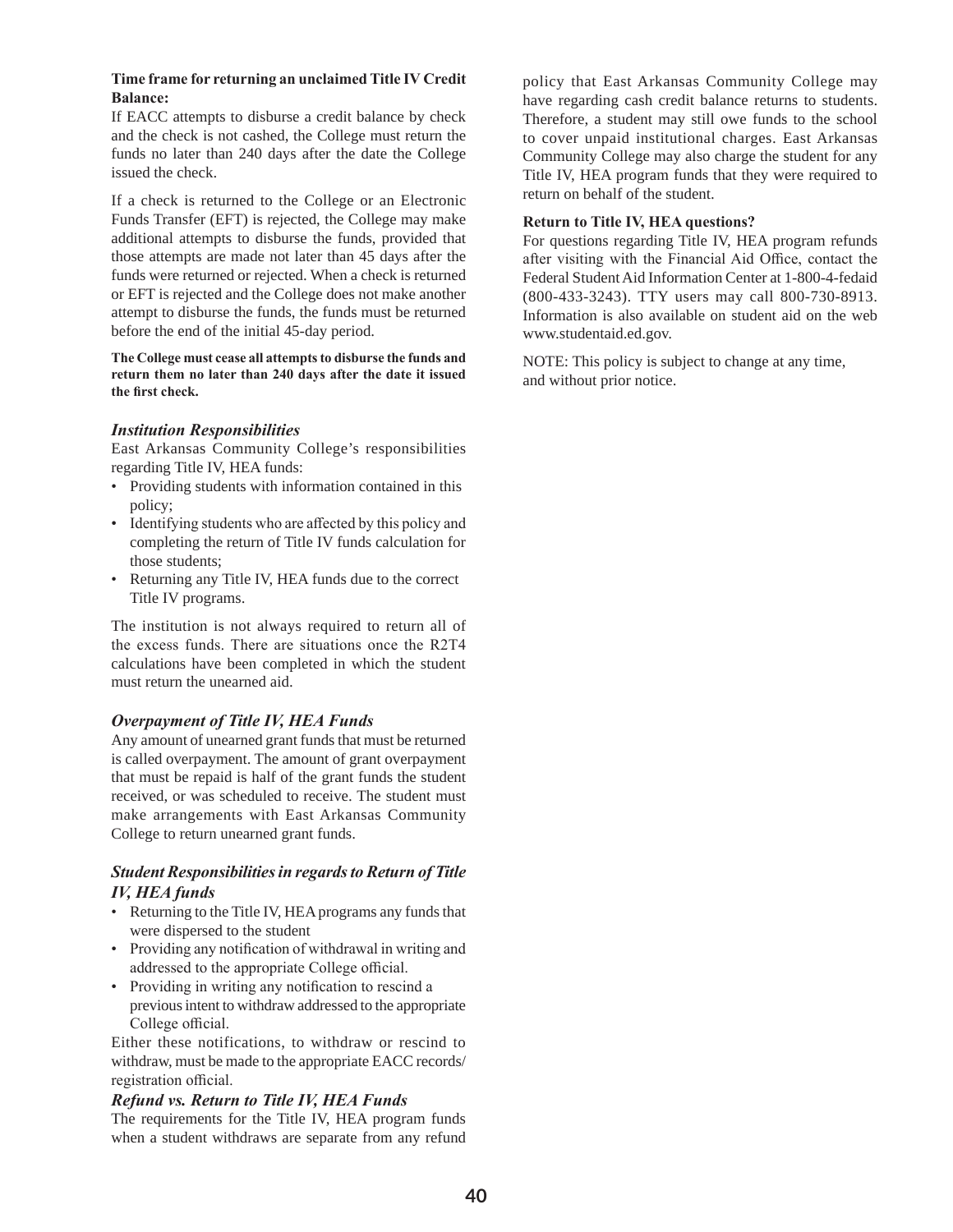#### **Time frame for returning an unclaimed Title IV Credit Balance:**

If EACC attempts to disburse a credit balance by check and the check is not cashed, the College must return the funds no later than 240 days after the date the College issued the check.

If a check is returned to the College or an Electronic Funds Transfer (EFT) is rejected, the College may make additional attempts to disburse the funds, provided that those attempts are made not later than 45 days after the funds were returned or rejected. When a check is returned or EFT is rejected and the College does not make another attempt to disburse the funds, the funds must be returned before the end of the initial 45-day period.

**The College must cease all attempts to disburse the funds and return them no later than 240 days after the date it issued the first check.** 

#### *Institution Responsibilities*

East Arkansas Community College's responsibilities regarding Title IV, HEA funds:

- Providing students with information contained in this policy;
- Identifying students who are affected by this policy and completing the return of Title IV funds calculation for those students;
- Returning any Title IV, HEA funds due to the correct Title IV programs.

The institution is not always required to return all of the excess funds. There are situations once the R2T4 calculations have been completed in which the student must return the unearned aid.

#### *Overpayment of Title IV, HEA Funds*

Any amount of unearned grant funds that must be returned is called overpayment. The amount of grant overpayment that must be repaid is half of the grant funds the student received, or was scheduled to receive. The student must make arrangements with East Arkansas Community College to return unearned grant funds.

#### *Student Responsibilities in regards to Return of Title IV, HEA funds*

- Returning to the Title IV, HEA programs any funds that were dispersed to the student
- Providing any notification of withdrawal in writing and addressed to the appropriate College official.
- Providing in writing any notification to rescind a previous intent to withdraw addressed to the appropriate College official.

Either these notifications, to withdraw or rescind to withdraw, must be made to the appropriate EACC records/ registration official.

#### *Refund vs. Return to Title IV, HEA Funds*

The requirements for the Title IV, HEA program funds when a student withdraws are separate from any refund

policy that East Arkansas Community College may have regarding cash credit balance returns to students. Therefore, a student may still owe funds to the school to cover unpaid institutional charges. East Arkansas Community College may also charge the student for any Title IV, HEA program funds that they were required to return on behalf of the student.

#### **Return to Title IV, HEA questions?**

For questions regarding Title IV, HEA program refunds after visiting with the Financial Aid Office, contact the Federal Student Aid Information Center at 1-800-4-fedaid (800-433-3243). TTY users may call 800-730-8913. Information is also available on student aid on the web www.studentaid.ed.gov.

NOTE: This policy is subject to change at any time, and without prior notice.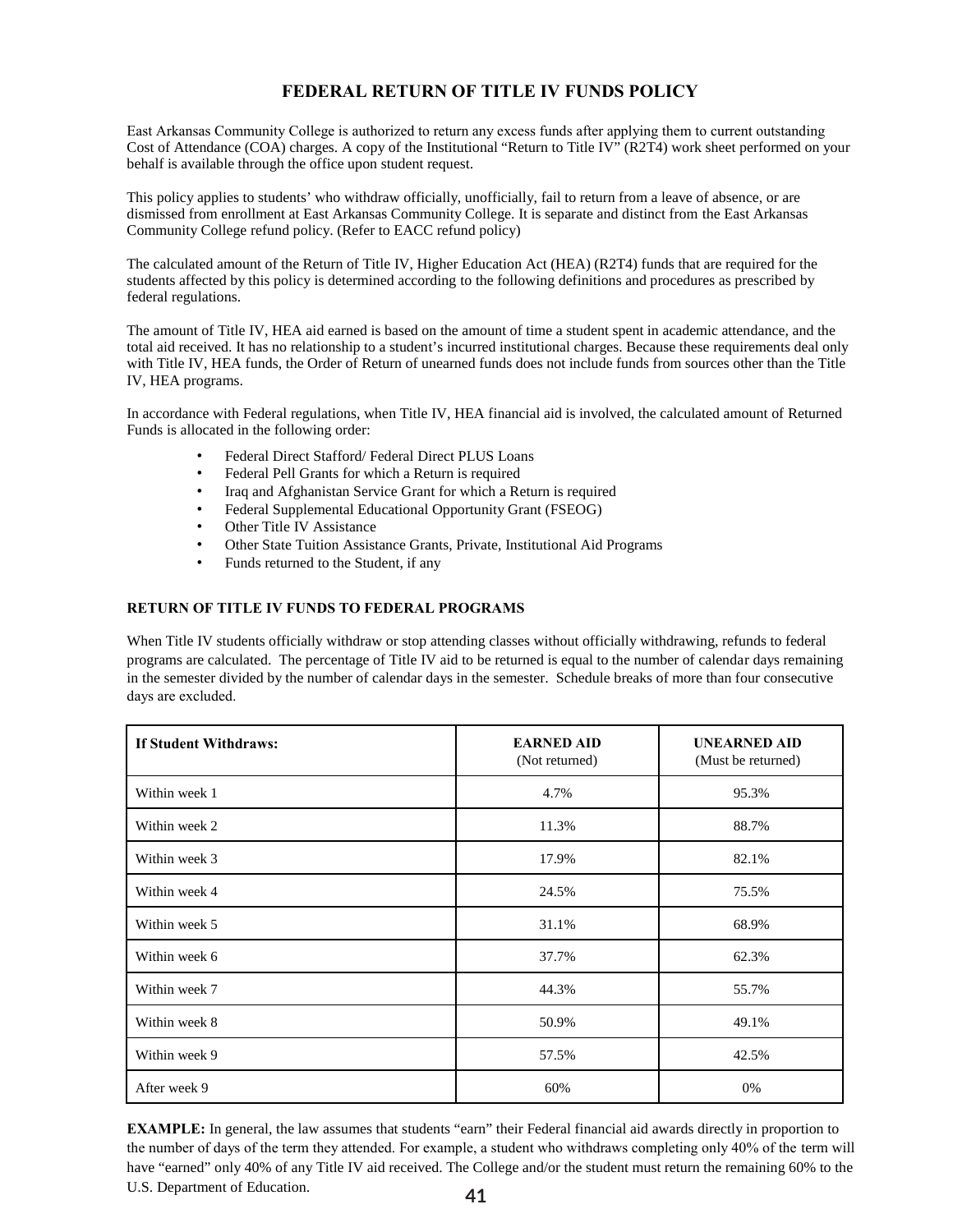#### **FEDERAL RETURN OF TITLE IV FUNDS POLICY**

East Arkansas Community College is authorized to return any excess funds after applying them to current outstanding Cost of Attendance (COA) charges. A copy of the Institutional "Return to Title IV" (R2T4) work sheet performed on your behalf is available through the office upon student request.

This policy applies to students' who withdraw officially, unofficially, fail to return from a leave of absence, or are dismissed from enrollment at East Arkansas Community College. It is separate and distinct from the East Arkansas Community College refund policy. (Refer to EACC refund policy)

The calculated amount of the Return of Title IV, Higher Education Act (HEA) (R2T4) funds that are required for the students affected by this policy is determined according to the following definitions and procedures as prescribed by federal regulations.

The amount of Title IV, HEA aid earned is based on the amount of time a student spent in academic attendance, and the total aid received. It has no relationship to a student's incurred institutional charges. Because these requirements deal only with Title IV, HEA funds, the Order of Return of unearned funds does not include funds from sources other than the Title IV, HEA programs.

In accordance with Federal regulations, when Title IV, HEA financial aid is involved, the calculated amount of Returned Funds is allocated in the following order:

- Federal Direct Stafford/ Federal Direct PLUS Loans
- Federal Pell Grants for which a Return is required
- Iraq and Afghanistan Service Grant for which a Return is required
- Federal Supplemental Educational Opportunity Grant (FSEOG)
- Other Title IV Assistance
- Other State Tuition Assistance Grants, Private, Institutional Aid Programs
- Funds returned to the Student, if any

#### **RETURN OF TITLE IV FUNDS TO FEDERAL PROGRAMS**

When Title IV students officially withdraw or stop attending classes without officially withdrawing, refunds to federal programs are calculated. The percentage of Title IV aid to be returned is equal to the number of calendar days remaining in the semester divided by the number of calendar days in the semester. Schedule breaks of more than four consecutive days are excluded.

| <b>If Student Withdraws:</b> | <b>EARNED AID</b><br>(Not returned) | <b>UNEARNED AID</b><br>(Must be returned) |
|------------------------------|-------------------------------------|-------------------------------------------|
| Within week 1                | 4.7%                                | 95.3%                                     |
| Within week 2                | 11.3%                               | 88.7%                                     |
| Within week 3                | 17.9%                               | 82.1%                                     |
| Within week 4                | 24.5%                               | 75.5%                                     |
| Within week 5                | 31.1%                               | 68.9%                                     |
| Within week 6                | 37.7%                               | 62.3%                                     |
| Within week 7                | 44.3%                               | 55.7%                                     |
| Within week 8                | 50.9%                               | 49.1%                                     |
| Within week 9                | 57.5%                               | 42.5%                                     |
| After week 9                 | 60%                                 | 0%                                        |

**41 EXAMPLE:** In general, the law assumes that students "earn" their Federal financial aid awards directly in proportion to the number of days of the term they attended. For example, a student who withdraws completing only 40% of the term will have "earned" only 40% of any Title IV aid received. The College and/or the student must return the remaining 60% to the U.S. Department of Education.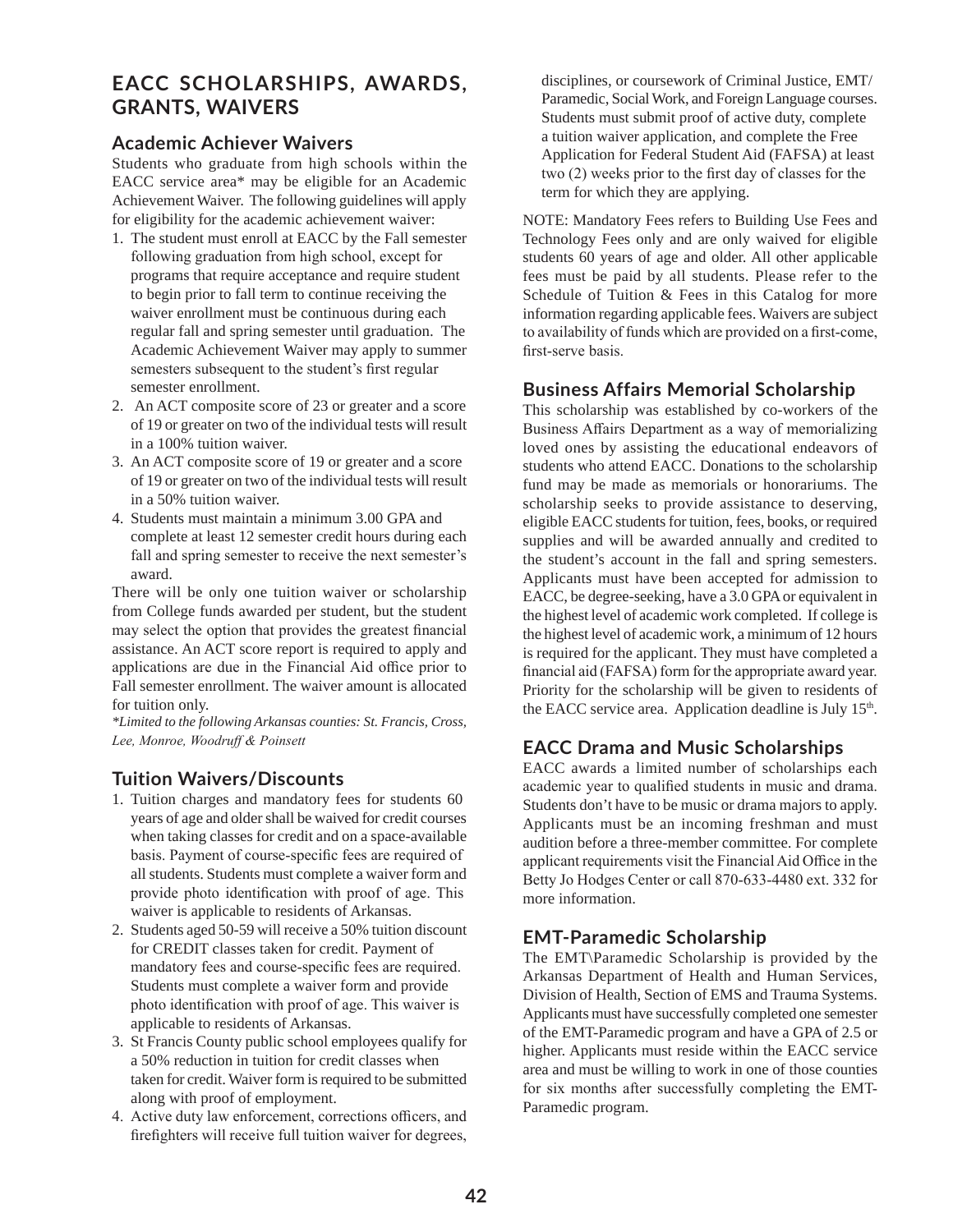# **EACC SCHOLARSHIPS, AWARDS, GRANTS, WAIVERS**

#### **Academic Achiever Waivers**

Students who graduate from high schools within the EACC service area\* may be eligible for an Academic Achievement Waiver. The following guidelines will apply for eligibility for the academic achievement waiver:

- 1. The student must enroll at EACC by the Fall semester following graduation from high school, except for programs that require acceptance and require student to begin prior to fall term to continue receiving the waiver enrollment must be continuous during each regular fall and spring semester until graduation. The Academic Achievement Waiver may apply to summer semesters subsequent to the student's first regular semester enrollment.
- 2. An ACT composite score of 23 or greater and a score of 19 or greater on two of the individual tests will result in a 100% tuition waiver.
- 3. An ACT composite score of 19 or greater and a score of 19 or greater on two of the individual tests will result in a 50% tuition waiver.
- 4. Students must maintain a minimum 3.00 GPA and complete at least 12 semester credit hours during each fall and spring semester to receive the next semester's award.

There will be only one tuition waiver or scholarship from College funds awarded per student, but the student may select the option that provides the greatest financial assistance. An ACT score report is required to apply and applications are due in the Financial Aid office prior to Fall semester enrollment. The waiver amount is allocated for tuition only.

*\*Limited to the following Arkansas counties: St. Francis, Cross, Lee, Monroe, Woodruff & Poinsett*

## **Tuition Waivers/Discounts**

- 1. Tuition charges and mandatory fees for students 60 years of age and older shall be waived for credit courses when taking classes for credit and on a space-available basis. Payment of course-specific fees are required of all students. Students must complete a waiver form and provide photo identification with proof of age. This waiver is applicable to residents of Arkansas.
- 2. Students aged 50-59 will receive a 50% tuition discount for CREDIT classes taken for credit. Payment of mandatory fees and course-specific fees are required. Students must complete a waiver form and provide photo identification with proof of age. This waiver is applicable to residents of Arkansas.
- 3. St Francis County public school employees qualify for a 50% reduction in tuition for credit classes when taken for credit. Waiver form is required to be submitted along with proof of employment.
- 4. Active duty law enforcement, corrections officers, and firefighters will receive full tuition waiver for degrees,

disciplines, or coursework of Criminal Justice, EMT/ Paramedic, Social Work, and Foreign Language courses. Students must submit proof of active duty, complete a tuition waiver application, and complete the Free Application for Federal Student Aid (FAFSA) at least two (2) weeks prior to the first day of classes for the term for which they are applying.

NOTE: Mandatory Fees refers to Building Use Fees and Technology Fees only and are only waived for eligible students 60 years of age and older. All other applicable fees must be paid by all students. Please refer to the Schedule of Tuition & Fees in this Catalog for more information regarding applicable fees. Waivers are subject to availability of funds which are provided on a first-come, first-serve basis.

#### **Business Affairs Memorial Scholarship**

This scholarship was established by co-workers of the Business Affairs Department as a way of memorializing loved ones by assisting the educational endeavors of students who attend EACC. Donations to the scholarship fund may be made as memorials or honorariums. The scholarship seeks to provide assistance to deserving, eligible EACC students for tuition, fees, books, or required supplies and will be awarded annually and credited to the student's account in the fall and spring semesters. Applicants must have been accepted for admission to EACC, be degree-seeking, have a 3.0 GPA or equivalent in the highest level of academic work completed. If college is the highest level of academic work, a minimum of 12 hours is required for the applicant. They must have completed a financial aid (FAFSA) form for the appropriate award year. Priority for the scholarship will be given to residents of the EACC service area. Application deadline is July 15<sup>th</sup>.

#### **EACC Drama and Music Scholarships**

EACC awards a limited number of scholarships each academic year to qualified students in music and drama. Students don't have to be music or drama majors to apply. Applicants must be an incoming freshman and must audition before a three-member committee. For complete applicant requirements visit the Financial Aid Office in the Betty Jo Hodges Center or call 870-633-4480 ext. 332 for more information.

## **EMT-Paramedic Scholarship**

The EMT\Paramedic Scholarship is provided by the Arkansas Department of Health and Human Services, Division of Health, Section of EMS and Trauma Systems. Applicants must have successfully completed one semester of the EMT-Paramedic program and have a GPA of 2.5 or higher. Applicants must reside within the EACC service area and must be willing to work in one of those counties for six months after successfully completing the EMT-Paramedic program.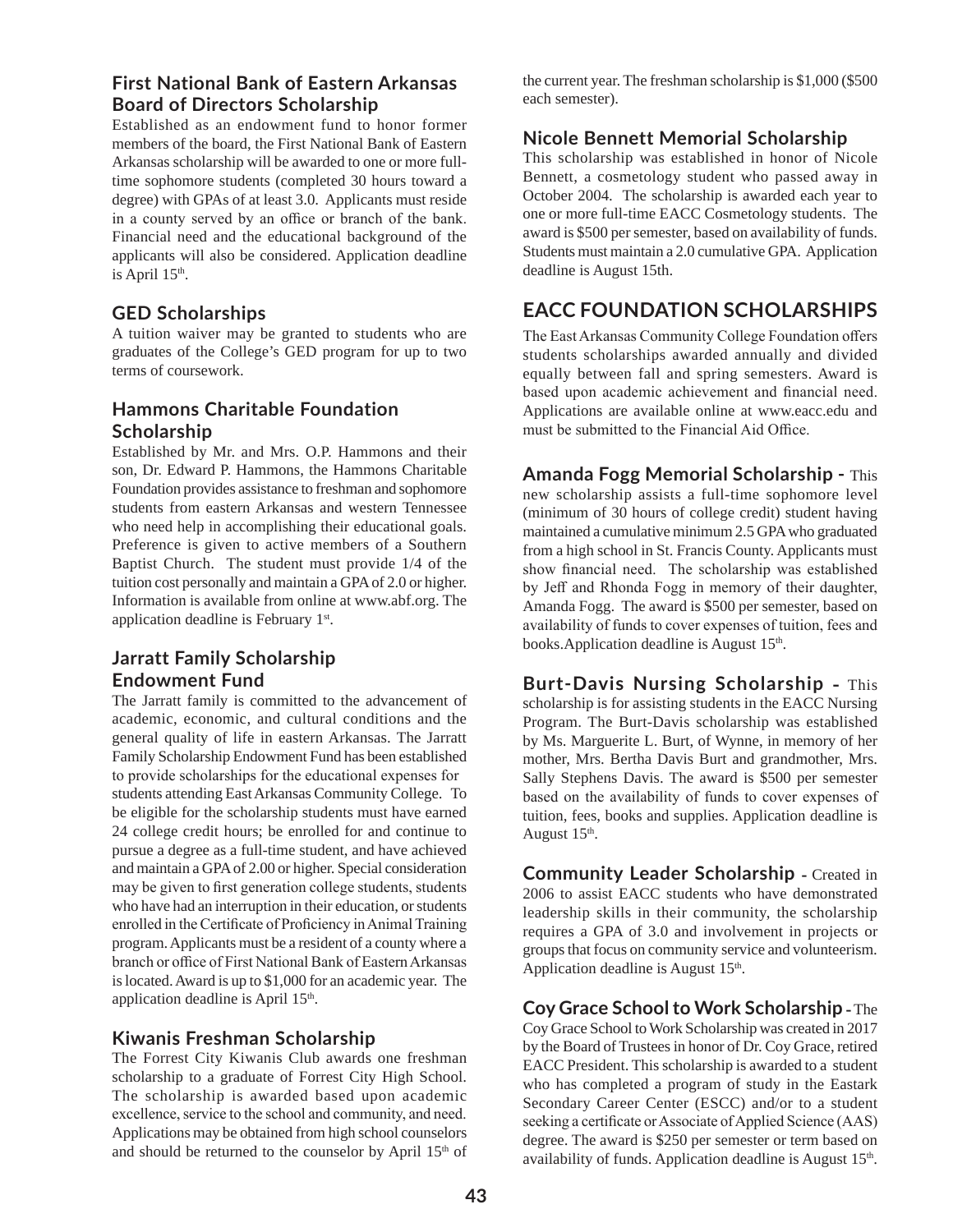## **First National Bank of Eastern Arkansas Board of Directors Scholarship**

Established as an endowment fund to honor former members of the board, the First National Bank of Eastern Arkansas scholarship will be awarded to one or more fulltime sophomore students (completed 30 hours toward a degree) with GPAs of at least 3.0. Applicants must reside in a county served by an office or branch of the bank. Financial need and the educational background of the applicants will also be considered. Application deadline is April 15<sup>th</sup>.

#### **GED Scholarships**

A tuition waiver may be granted to students who are graduates of the College's GED program for up to two terms of coursework.

# **Hammons Charitable Foundation Scholarship**

Established by Mr. and Mrs. O.P. Hammons and their son, Dr. Edward P. Hammons, the Hammons Charitable Foundation provides assistance to freshman and sophomore students from eastern Arkansas and western Tennessee who need help in accomplishing their educational goals. Preference is given to active members of a Southern Baptist Church. The student must provide 1/4 of the tuition cost personally and maintain a GPA of 2.0 or higher. Information is available from online at www.abf.org. The application deadline is February 1st.

# **Jarratt Family Scholarship Endowment Fund**

The Jarratt family is committed to the advancement of academic, economic, and cultural conditions and the general quality of life in eastern Arkansas. The Jarratt Family Scholarship Endowment Fund has been established to provide scholarships for the educational expenses for students attending East Arkansas Community College. To be eligible for the scholarship students must have earned 24 college credit hours; be enrolled for and continue to pursue a degree as a full-time student, and have achieved and maintain a GPA of 2.00 or higher. Special consideration may be given to first generation college students, students who have had an interruption in their education, or students enrolled in the Certificate of Proficiency in Animal Training program. Applicants must be a resident of a county where a branch or office of First National Bank of Eastern Arkansas is located. Award is up to \$1,000 for an academic year. The application deadline is April 15<sup>th</sup>.

## **Kiwanis Freshman Scholarship**

The Forrest City Kiwanis Club awards one freshman scholarship to a graduate of Forrest City High School. The scholarship is awarded based upon academic excellence, service to the school and community, and need. Applications may be obtained from high school counselors and should be returned to the counselor by April 15<sup>th</sup> of the current year. The freshman scholarship is \$1,000 (\$500 each semester).

#### **Nicole Bennett Memorial Scholarship**

This scholarship was established in honor of Nicole Bennett, a cosmetology student who passed away in October 2004. The scholarship is awarded each year to one or more full-time EACC Cosmetology students. The award is \$500 per semester, based on availability of funds. Students must maintain a 2.0 cumulative GPA. Application deadline is August 15th.

# **EACC FOUNDATION SCHOLARSHIPS**

The East Arkansas Community College Foundation offers students scholarships awarded annually and divided equally between fall and spring semesters. Award is based upon academic achievement and financial need. Applications are available online at www.eacc.edu and must be submitted to the Financial Aid Office.

**Amanda Fogg Memorial Scholarship -** This

new scholarship assists a full-time sophomore level (minimum of 30 hours of college credit) student having maintained a cumulative minimum 2.5 GPA who graduated from a high school in St. Francis County. Applicants must show financial need. The scholarship was established by Jeff and Rhonda Fogg in memory of their daughter, Amanda Fogg. The award is \$500 per semester, based on availability of funds to cover expenses of tuition, fees and books.Application deadline is August  $15<sup>th</sup>$ .

**Burt-Davis Nursing Scholarship -** This scholarship is for assisting students in the EACC Nursing Program. The Burt-Davis scholarship was established by Ms. Marguerite L. Burt, of Wynne, in memory of her mother, Mrs. Bertha Davis Burt and grandmother, Mrs. Sally Stephens Davis. The award is \$500 per semester based on the availability of funds to cover expenses of tuition, fees, books and supplies. Application deadline is August 15<sup>th</sup>.

**Community Leader Scholarship - Created in** 2006 to assist EACC students who have demonstrated leadership skills in their community, the scholarship requires a GPA of 3.0 and involvement in projects or groups that focus on community service and volunteerism. Application deadline is August  $15<sup>th</sup>$ .

**Coy Grace School to Work Scholarship -** The Coy Grace School to Work Scholarship was created in 2017 by the Board of Trustees in honor of Dr. Coy Grace, retired EACC President. This scholarship is awarded to a student who has completed a program of study in the Eastark Secondary Career Center (ESCC) and/or to a student seeking a certificate or Associate of Applied Science (AAS) degree. The award is \$250 per semester or term based on availability of funds. Application deadline is August  $15<sup>th</sup>$ .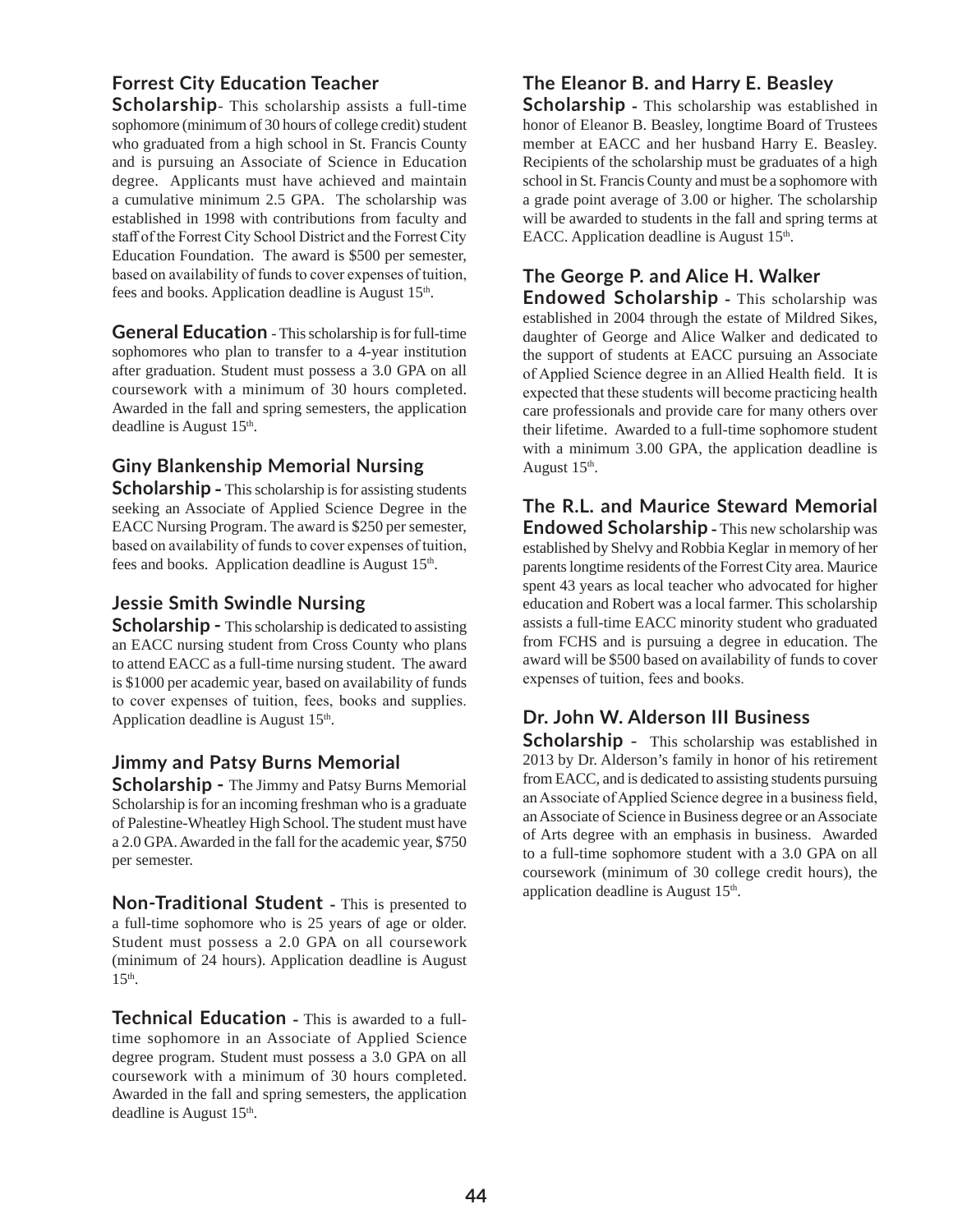# **Forrest City Education Teacher**

**Scholarship**- This scholarship assists a full-time sophomore (minimum of 30 hours of college credit) student who graduated from a high school in St. Francis County and is pursuing an Associate of Science in Education degree. Applicants must have achieved and maintain a cumulative minimum 2.5 GPA. The scholarship was established in 1998 with contributions from faculty and staff of the Forrest City School District and the Forrest City Education Foundation. The award is \$500 per semester, based on availability of funds to cover expenses of tuition, fees and books. Application deadline is August 15<sup>th</sup>.

**General Education** - This scholarship is for full-time sophomores who plan to transfer to a 4-year institution after graduation. Student must possess a 3.0 GPA on all coursework with a minimum of 30 hours completed. Awarded in the fall and spring semesters, the application deadline is August 15<sup>th</sup>.

# **Giny Blankenship Memorial Nursing**

**Scholarship -** This scholarship is for assisting students seeking an Associate of Applied Science Degree in the EACC Nursing Program. The award is \$250 per semester, based on availability of funds to cover expenses of tuition, fees and books. Application deadline is August 15<sup>th</sup>.

#### **Jessie Smith Swindle Nursing**

**Scholarship - This scholarship is dedicated to assisting** an EACC nursing student from Cross County who plans to attend EACC as a full-time nursing student. The award is \$1000 per academic year, based on availability of funds to cover expenses of tuition, fees, books and supplies. Application deadline is August  $15<sup>th</sup>$ .

## **Jimmy and Patsy Burns Memorial**

**Scholarship - The Jimmy and Patsy Burns Memorial** Scholarship is for an incoming freshman who is a graduate of Palestine-Wheatley High School. The student must have a 2.0 GPA. Awarded in the fall for the academic year, \$750 per semester.

**Non-Traditional Student** - This is presented to a full-time sophomore who is 25 years of age or older. Student must possess a 2.0 GPA on all coursework (minimum of 24 hours). Application deadline is August  $15<sup>th</sup>$ .

**Technical Education -** This is awarded to a fulltime sophomore in an Associate of Applied Science degree program. Student must possess a 3.0 GPA on all coursework with a minimum of 30 hours completed. Awarded in the fall and spring semesters, the application deadline is August 15<sup>th</sup>.

# **The Eleanor B. and Harry E. Beasley**

**Scholarship -** This scholarship was established in honor of Eleanor B. Beasley, longtime Board of Trustees member at EACC and her husband Harry E. Beasley. Recipients of the scholarship must be graduates of a high school in St. Francis County and must be a sophomore with a grade point average of 3.00 or higher. The scholarship will be awarded to students in the fall and spring terms at EACC. Application deadline is August  $15<sup>th</sup>$ .

# **The George P. and Alice H. Walker**

**Endowed Scholarship -** This scholarship was established in 2004 through the estate of Mildred Sikes, daughter of George and Alice Walker and dedicated to the support of students at EACC pursuing an Associate of Applied Science degree in an Allied Health field. It is expected that these students will become practicing health care professionals and provide care for many others over their lifetime. Awarded to a full-time sophomore student with a minimum 3.00 GPA, the application deadline is August  $15<sup>th</sup>$ .

**The R.L. and Maurice Steward Memorial Endowed Scholarship** - This new scholarship was established by Shelvy and Robbia Keglar in memory of her parents longtime residents of the Forrest City area. Maurice spent 43 years as local teacher who advocated for higher education and Robert was a local farmer. This scholarship assists a full-time EACC minority student who graduated from FCHS and is pursuing a degree in education. The award will be \$500 based on availability of funds to cover expenses of tuition, fees and books.

# **Dr. John W. Alderson III Business**

**Scholarship** - This scholarship was established in 2013 by Dr. Alderson's family in honor of his retirement from EACC, and is dedicated to assisting students pursuing an Associate of Applied Science degree in a business field, an Associate of Science in Business degree or an Associate of Arts degree with an emphasis in business. Awarded to a full-time sophomore student with a 3.0 GPA on all coursework (minimum of 30 college credit hours), the application deadline is August 15<sup>th</sup>.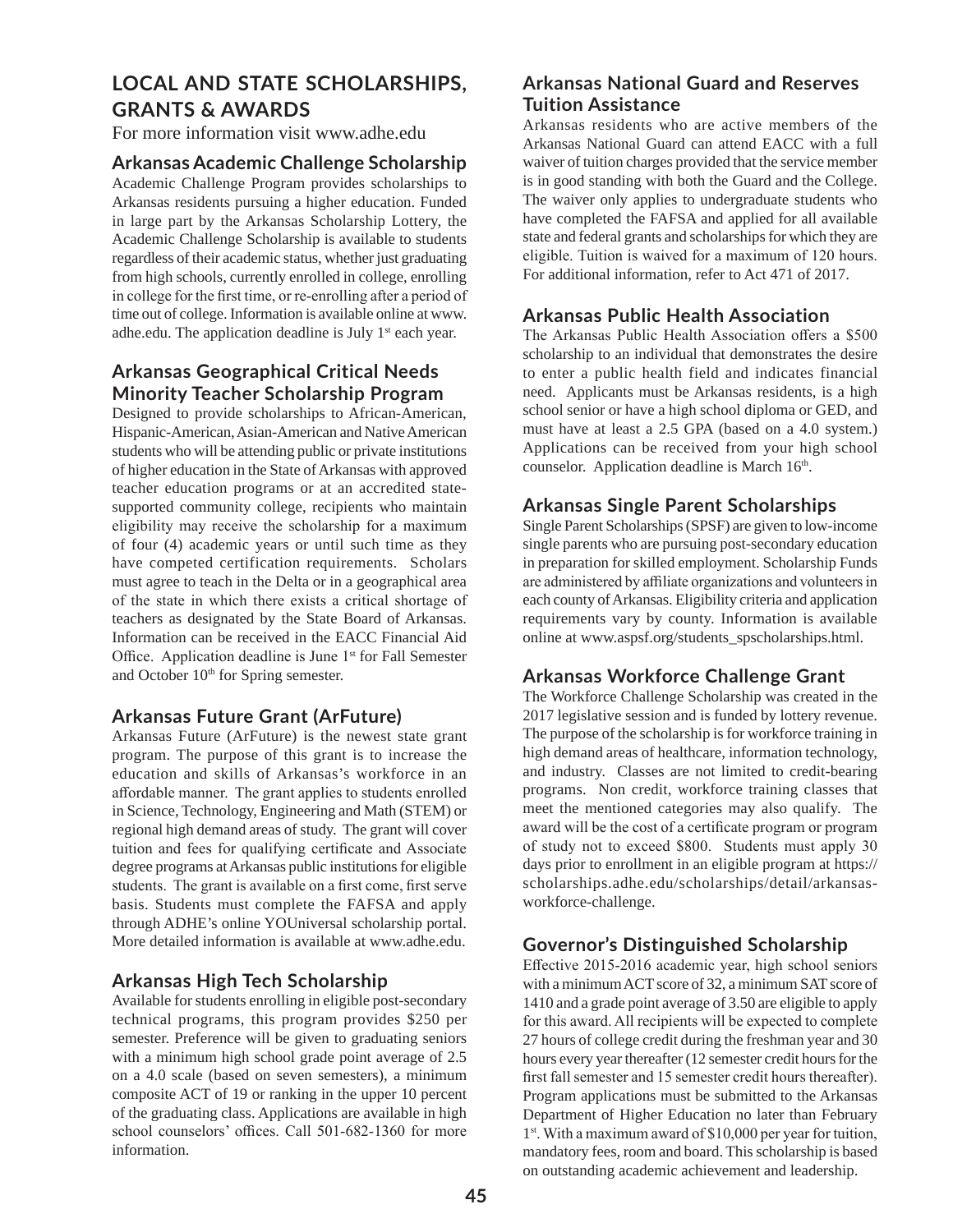# **LOCAL AND STATE SCHOLARSHIPS, GRANTS & AWARDS**

For more information visit www.adhe.edu

#### **Arkansas Academic Challenge Scholarship**

Academic Challenge Program provides scholarships to Arkansas residents pursuing a higher education. Funded in large part by the Arkansas Scholarship Lottery, the Academic Challenge Scholarship is available to students regardless of their academic status, whether just graduating from high schools, currently enrolled in college, enrolling in college for the first time, or re-enrolling after a period of time out of college. Information is available online at www. adhe.edu. The application deadline is July 1<sup>st</sup> each year.

# **Arkansas Geographical Critical Needs Minority Teacher Scholarship Program**

Designed to provide scholarships to African-American, Hispanic-American, Asian-American and Native American students who will be attending public or private institutions of higher education in the State of Arkansas with approved teacher education programs or at an accredited statesupported community college, recipients who maintain eligibility may receive the scholarship for a maximum of four (4) academic years or until such time as they have competed certification requirements. Scholars must agree to teach in the Delta or in a geographical area of the state in which there exists a critical shortage of teachers as designated by the State Board of Arkansas. Information can be received in the EACC Financial Aid Office. Application deadline is June  $1<sup>st</sup>$  for Fall Semester and October 10<sup>th</sup> for Spring semester.

## **Arkansas Future Grant (ArFuture)**

Arkansas Future (ArFuture) is the newest state grant program. The purpose of this grant is to increase the education and skills of Arkansas's workforce in an affordable manner. The grant applies to students enrolled in Science, Technology, Engineering and Math (STEM) or regional high demand areas of study. The grant will cover tuition and fees for qualifying certificate and Associate degree programs at Arkansas public institutions for eligible students. The grant is available on a first come, first serve basis. Students must complete the FAFSA and apply through ADHE's online YOUniversal scholarship portal. More detailed information is available at www.adhe.edu.

#### **Arkansas High Tech Scholarship**

Available for students enrolling in eligible post-secondary technical programs, this program provides \$250 per semester. Preference will be given to graduating seniors with a minimum high school grade point average of 2.5 on a 4.0 scale (based on seven semesters), a minimum composite ACT of 19 or ranking in the upper 10 percent of the graduating class. Applications are available in high school counselors' offices. Call 501-682-1360 for more information.

# **Arkansas National Guard and Reserves Tuition Assistance**

Arkansas residents who are active members of the Arkansas National Guard can attend EACC with a full waiver of tuition charges provided that the service member is in good standing with both the Guard and the College. The waiver only applies to undergraduate students who have completed the FAFSA and applied for all available state and federal grants and scholarships for which they are eligible. Tuition is waived for a maximum of 120 hours. For additional information, refer to Act 471 of 2017.

#### **Arkansas Public Health Association**

The Arkansas Public Health Association offers a \$500 scholarship to an individual that demonstrates the desire to enter a public health field and indicates financial need. Applicants must be Arkansas residents, is a high school senior or have a high school diploma or GED, and must have at least a 2.5 GPA (based on a 4.0 system.) Applications can be received from your high school counselor. Application deadline is March 16<sup>th</sup>.

## **Arkansas Single Parent Scholarships**

Single Parent Scholarships (SPSF) are given to low-income single parents who are pursuing post-secondary education in preparation for skilled employment. Scholarship Funds are administered by affiliate organizations and volunteers in each county of Arkansas. Eligibility criteria and application requirements vary by county. Information is available online at www.aspsf.org/students\_spscholarships.html.

## **Arkansas Workforce Challenge Grant**

The Workforce Challenge Scholarship was created in the 2017 legislative session and is funded by lottery revenue. The purpose of the scholarship is for workforce training in high demand areas of healthcare, information technology, and industry. Classes are not limited to credit-bearing programs. Non credit, workforce training classes that meet the mentioned categories may also qualify. The award will be the cost of a certificate program or program of study not to exceed \$800. Students must apply 30 days prior to enrollment in an eligible program at https:// scholarships.adhe.edu/scholarships/detail/arkansasworkforce-challenge.

## **Governor's Distinguished Scholarship**

Effective 2015-2016 academic year, high school seniors with a minimum ACT score of 32, a minimum SAT score of 1410 and a grade point average of 3.50 are eligible to apply for this award. All recipients will be expected to complete 27 hours of college credit during the freshman year and 30 hours every year thereafter (12 semester credit hours for the first fall semester and 15 semester credit hours thereafter). Program applications must be submitted to the Arkansas Department of Higher Education no later than February 1<sup>st</sup>. With a maximum award of \$10,000 per year for tuition, mandatory fees, room and board. This scholarship is based on outstanding academic achievement and leadership.